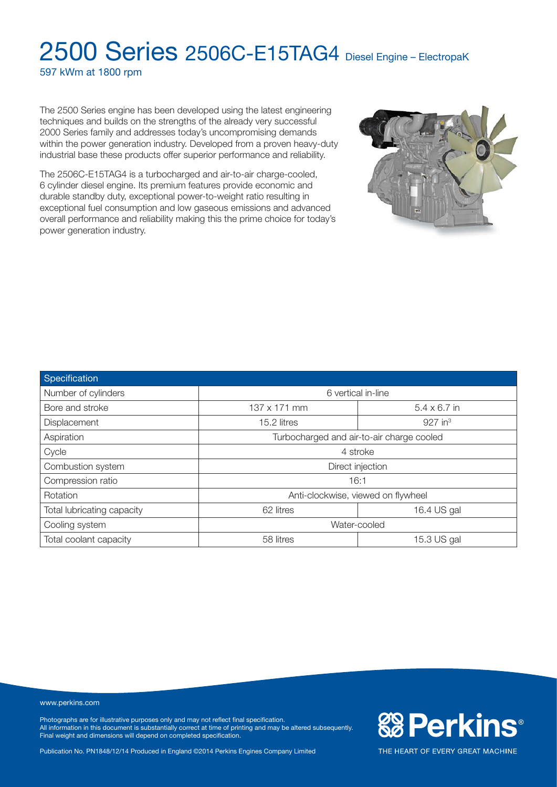597 kWm at 1800 rpm

The 2500 Series engine has been developed using the latest engineering techniques and builds on the strengths of the already very successful 2000 Series family and addresses today's uncompromising demands within the power generation industry. Developed from a proven heavy-duty industrial base these products offer superior performance and reliability.

The 2506C-E15TAG4 is a turbocharged and air-to-air charge-cooled, 6 cylinder diesel engine. Its premium features provide economic and durable standby duty, exceptional power-to-weight ratio resulting in exceptional fuel consumption and low gaseous emissions and advanced overall performance and reliability making this the prime choice for today's power generation industry.



**&BPerkins®** 

THE HEART OF EVERY GREAT MACHINE

| Specification              |                                           |                       |  |  |
|----------------------------|-------------------------------------------|-----------------------|--|--|
| Number of cylinders        | 6 vertical in-line                        |                       |  |  |
| Bore and stroke            | 137 x 171 mm<br>$5.4 \times 6.7$ in       |                       |  |  |
| Displacement               | 15.2 litres                               | $927$ in <sup>3</sup> |  |  |
| Aspiration                 | Turbocharged and air-to-air charge cooled |                       |  |  |
| Cycle                      | 4 stroke                                  |                       |  |  |
| Combustion system          | Direct injection                          |                       |  |  |
| Compression ratio          | 16:1                                      |                       |  |  |
| Rotation                   | Anti-clockwise, viewed on flywheel        |                       |  |  |
| Total lubricating capacity | 62 litres                                 | 16.4 US gal           |  |  |
| Cooling system             | Water-cooled                              |                       |  |  |
| Total coolant capacity     | 58 litres                                 | 15.3 US gal           |  |  |

www.perkins.com

Photographs are for illustrative purposes only and may not reflect final specification. All information in this document is substantially correct at time of printing and may be altered subsequently. Final weight and dimensions will depend on completed specification.

Publication No. PN1848/12/14 Produced in England ©2014 Perkins Engines Company Limited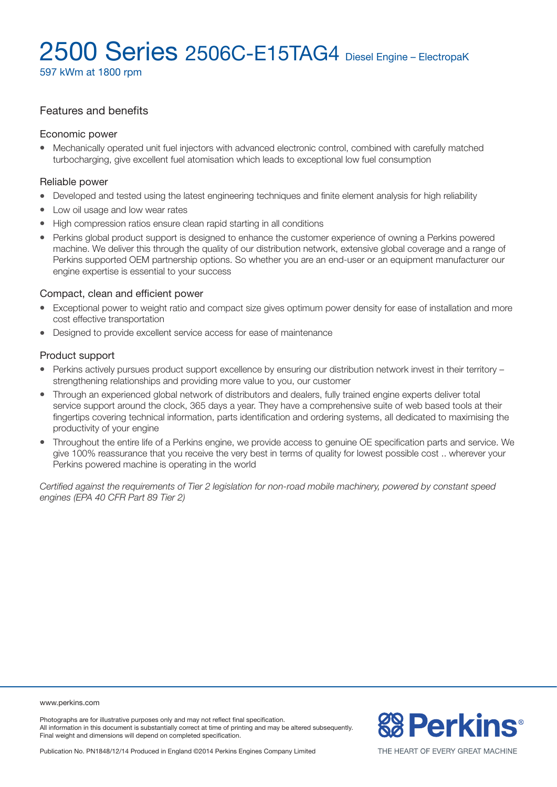597 kWm at 1800 rpm

### Features and benefits

#### Economic power

• Mechanically operated unit fuel injectors with advanced electronic control, combined with carefully matched turbocharging, give excellent fuel atomisation which leads to exceptional low fuel consumption

#### Reliable power

- Developed and tested using the latest engineering techniques and finite element analysis for high reliability
- Low oil usage and low wear rates
- High compression ratios ensure clean rapid starting in all conditions
- Perkins global product support is designed to enhance the customer experience of owning a Perkins powered machine. We deliver this through the quality of our distribution network, extensive global coverage and a range of Perkins supported OEM partnership options. So whether you are an end-user or an equipment manufacturer our engine expertise is essential to your success

#### Compact, clean and efficient power

- Exceptional power to weight ratio and compact size gives optimum power density for ease of installation and more cost effective transportation
- Designed to provide excellent service access for ease of maintenance

#### Product support

- Perkins actively pursues product support excellence by ensuring our distribution network invest in their territory strengthening relationships and providing more value to you, our customer
- Through an experienced global network of distributors and dealers, fully trained engine experts deliver total service support around the clock, 365 days a year. They have a comprehensive suite of web based tools at their fingertips covering technical information, parts identification and ordering systems, all dedicated to maximising the productivity of your engine
- Throughout the entire life of a Perkins engine, we provide access to genuine OE specification parts and service. We give 100% reassurance that you receive the very best in terms of quality for lowest possible cost .. wherever your Perkins powered machine is operating in the world

*Certified against the requirements of Tier 2 legislation for non-road mobile machinery, powered by constant speed engines (EPA 40 CFR Part 89 Tier 2)*

www.perkins.com

Photographs are for illustrative purposes only and may not reflect final specification. All information in this document is substantially correct at time of printing and may be altered subsequently. Final weight and dimensions will depend on completed specification.



Publication No. PN1848/12/14 Produced in England ©2014 Perkins Engines Company Limited

THE HEART OF EVERY GREAT MACHINE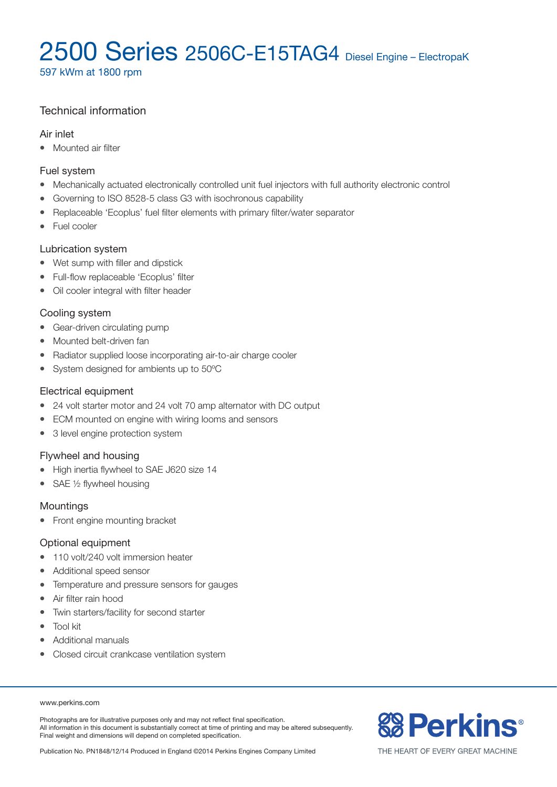597 kWm at 1800 rpm

## Technical information

### Air inlet

• Mounted air filter

### Fuel system

- Mechanically actuated electronically controlled unit fuel injectors with full authority electronic control
- Governing to ISO 8528-5 class G3 with isochronous capability
- Replaceable 'Ecoplus' fuel filter elements with primary filter/water separator
- $\bullet$  Fuel cooler

### Lubrication system

- Wet sump with filler and dipstick
- Full-flow replaceable 'Ecoplus' filter
- Oil cooler integral with filter header

### Cooling system

- Gear-driven circulating pump
- Mounted belt-driven fan
- Radiator supplied loose incorporating air-to-air charge cooler
- System designed for ambients up to 50°C

### Electrical equipment

- 24 volt starter motor and 24 volt 70 amp alternator with DC output
- ECM mounted on engine with wiring looms and sensors
- 3 level engine protection system

### Flywheel and housing

- High inertia flywheel to SAE J620 size 14
- SAE  $\frac{1}{2}$  flywheel housing

### **Mountings**

• Front engine mounting bracket

#### Optional equipment

- 110 volt/240 volt immersion heater
- Additional speed sensor
- Temperature and pressure sensors for gauges
- Air filter rain hood
- Twin starters/facility for second starter
- $\bullet$  Tool kit
- <sup>l</sup> Additional manuals
- Closed circuit crankcase ventilation system

#### www.perkins.com

Photographs are for illustrative purposes only and may not reflect final specification. All information in this document is substantially correct at time of printing and may be altered subsequently. Final weight and dimensions will depend on completed specification.



Publication No. PN1848/12/14 Produced in England ©2014 Perkins Engines Company Limited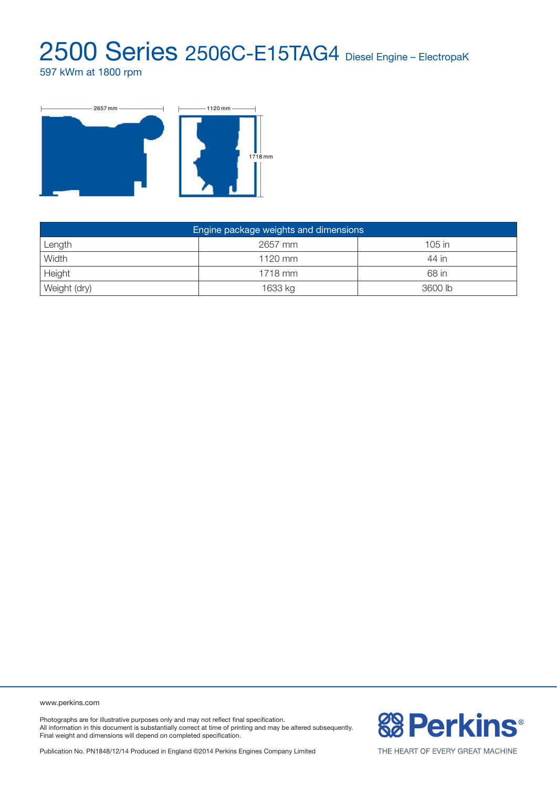597 kWm at 1800 rpm



| Engine package weights and dimensions |           |          |  |  |
|---------------------------------------|-----------|----------|--|--|
| Length                                | 2657 mm   | $105$ in |  |  |
| Width                                 | $1120$ mm | 44 in    |  |  |
| Height                                | 1718 mm   | 68 in    |  |  |
| Weight (dry)                          | 1633 kg   | 3600 lb  |  |  |

www.perkins.com

Photographs are for illustrative purposes only and may not reflect final specification. All information in this document is substantially correct at time of printing and may be altered subsequently. Final weight and dimensions will depend on completed specification.

Publication No. PN1848/12/14 Produced in England ©2014 Perkins Engines Company Limited



THE HEART OF EVERY GREAT MACHINE